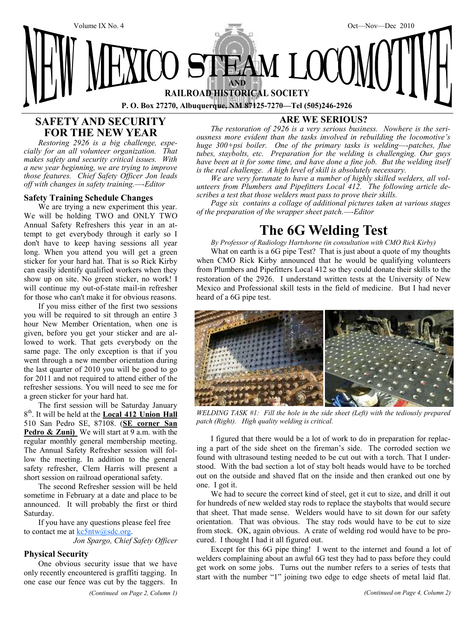

# **SAFETY AND SECURITY FOR THE NEW YEAR**

*Restoring 2926 is a big challenge, especially for an all volunteer organization. That makes safety and security critical issues. With a new year beginning, we are trying to improve those features. Chief Safety Officer Jon leads off with changes in safety training.—-Editor*

#### **Safety Training Schedule Changes**

We are trying a new experiment this year. We will be holding TWO and ONLY TWO Annual Safety Refreshers this year in an attempt to get everybody through it early so I don't have to keep having sessions all year long. When you attend you will get a green sticker for your hard hat. That is so Rick Kirby can easily identify qualified workers when they show up on site. No green sticker, no work! I will continue my out-of-state mail-in refresher for those who can't make it for obvious reasons.

If you miss either of the first two sessions you will be required to sit through an entire 3 hour New Member Orientation, when one is given, before you get your sticker and are allowed to work. That gets everybody on the same page. The only exception is that if you went through a new member orientation during the last quarter of 2010 you will be good to go for 2011 and not required to attend either of the refresher sessions. You will need to see me for a green sticker for your hard hat.

The first session will be Saturday January 8<sup>th</sup>. It will be held at the **Local 412 Union Hall** 510 San Pedro SE, 87108. (**SE corner San** Pedro & Zuni) We will start at 9 a.m. with the regular monthly general membership meeting. The Annual Safety Refresher session will follow the meeting. In addition to the general safety refresher, Clem Harris will present a short session on railroad operational safety.

The second Refresher session will be held sometime in February at a date and place to be announced. It will probably the first or third Saturday.

If you have any questions please feel free to contact me at kc5ntw@sdc.org.

*Jon Spargo, Chief Safety Officer*

#### **Physical Security**

One obvious security issue that we have only recently encountered is graffiti tagging. In one case our fence was cut by the taggers. In

*(Continued on Page 2, Column 1) (Continued on Page 4, Column 2)*

# **ARE WE SERIOUS?**

*The restoration of 2926 is a very serious business. Nowhere is the seriousness more evident than the tasks involved in rebuilding the locomotive's huge 300+psi boiler. One of the primary tasks is welding—-patches, flue tubes, staybolts, etc. Preparation for the welding is challenging. Our guys have been at it for some time, and have done a fine job. But the welding itself is the real challenge. A high level of skill is absolutely necessary.*

*We are very fortunate to have a number of highly skilled welders, all volunteers from Plumbers and Pipefitters Local 412. The following article describes a test that those welders must pass to prove their skills.*

*Page six contains a collage of additional pictures taken at various stages of the preparation of the wrapper sheet patch.—-Editor*

# **The 6G Welding Test**

*By Professor of Radiology Hartshorne (in consultation with CMO Rick Kirby)*

What on earth is a 6G pipe Test? That is just about a quote of my thoughts when CMO Rick Kirby announced that he would be qualifying volunteers from Plumbers and Pipefitters Local 412 so they could donate their skills to the restoration of the 2926. I understand written tests at the University of New Mexico and Professional skill tests in the field of medicine. But I had never heard of a 6G pipe test.



*WELDING TASK #1: Fill the hole in the side sheet (Left) with the tediously prepared patch (Right). High quality welding is critical.*

I figured that there would be a lot of work to do in preparation for replacing a part of the side sheet on the fireman's side. The corroded section we found with ultrasound testing needed to be cut out with a torch. That I understood. With the bad section a lot of stay bolt heads would have to be torched out on the outside and shaved flat on the inside and then cranked out one by one. I got it.

We had to secure the correct kind of steel, get it cut to size, and drill it out for hundreds of new welded stay rods to replace the staybolts that would secure that sheet. That made sense. Welders would have to sit down for our safety orientation. That was obvious. The stay rods would have to be cut to size from stock. OK, again obvious. A crate of welding rod would have to be procured. I thought I had it all figured out.

Except for this 6G pipe thing! I went to the internet and found a lot of welders complaining about an awful 6G test they had to pass before they could get work on some jobs. Turns out the number refers to a series of tests that start with the number "1" joining two edge to edge sheets of metal laid flat.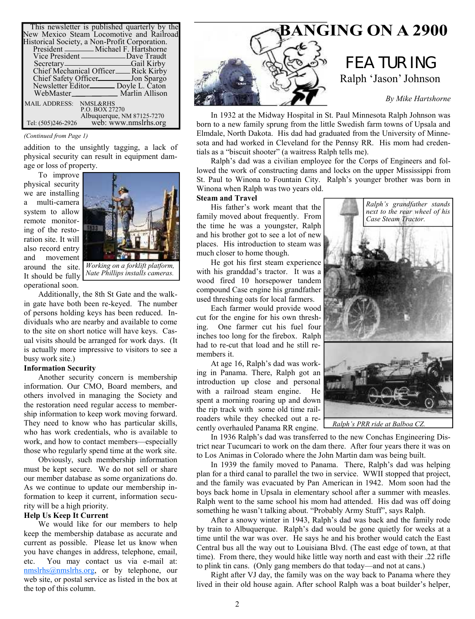| This newsletter is published quarterly by the<br>New Mexico Steam Locomotive and Railroad |
|-------------------------------------------------------------------------------------------|
| Historical Society, a Non-Profit Corporation.                                             |
| President _________ Michael F. Hartshorne                                                 |
| Vice President ______________Dave Traudt                                                  |
| Secretary———————————————Gail Kirby                                                        |
| Chief Mechanical Officer__Rick Kirby                                                      |
| Chief Safety Officer ________ Jon Spargo                                                  |
| Newsletter Editor________ Doyle L. Caton                                                  |
| WebMaster Marlin Allison                                                                  |
| MAIL ADDRESS: NMSL&RHS                                                                    |
| P.O. BOX 27270                                                                            |
| Albuquerque, NM 87125-7270                                                                |
| web: www.nmslrhs.org<br>Tel: (505)246-2926                                                |

#### *(Continued from Page 1)*

addition to the unsightly tagging, a lack of physical security can result in equipment damage or loss of property.

To improve physical security we are installing a multi-camera system to allow remote monitoring of the restoration site. It will also record entry and movement It should be fully operational soon.



*Nate Phillips installs cameras.*

Additionally, the 8th St Gate and the walkin gate have both been re-keyed. The number of persons holding keys has been reduced. Individuals who are nearby and available to come to the site on short notice will have keys. Casual visits should be arranged for work days. (It is actually more impressive to visitors to see a busy work site.)

#### **Information Security**

Another security concern is membership information. Our CMO, Board members, and others involved in managing the Society and the restoration need regular access to membership information to keep work moving forward. They need to know who has particular skills, who has work credentials, who is available to work, and how to contact members—especially those who regularly spend time at the work site.

Obviously, such membership information must be kept secure. We do not sell or share our member database as some organizations do. As we continue to update our membership information to keep it current, information security will be a high priority.

#### **Help Us Keep It Current**

We would like for our members to help keep the membership database as accurate and current as possible. Please let us know when you have changes in address, telephone, email, etc. You may contact us via e-mail at: nmslrhs@nmslrhs.org, or by telephone, our web site, or postal service as listed in the box at the top of this column.



In 1932 at the Midway Hospital in St. Paul Minnesota Ralph Johnson was born to a new family sprung from the little Swedish farm towns of Upsala and Elmdale, North Dakota. His dad had graduated from the University of Minnesota and had worked in Cleveland for the Pennsy RR. His mom had credentials as a "biscuit shooter" (a waitress Ralph tells me).

Ralph's dad was a civilian employee for the Corps of Engineers and followed the work of constructing dams and locks on the upper Mississippi from St. Paul to Winona to Fountain City. Ralph's younger brother was born in Winona when Ralph was two years old.

#### **Steam and Travel**

His father's work meant that the family moved about frequently. From the time he was a youngster, Ralph and his brother got to see a lot of new places. His introduction to steam was much closer to home though.

He got his first steam experience with his granddad's tractor. It was a wood fired 10 horsepower tandem compound Case engine his grandfather used threshing oats for local farmers.

Each farmer would provide wood cut for the engine for his own threshing. One farmer cut his fuel four inches too long for the firebox. Ralph had to re-cut that load and he still remembers it.

At age 16, Ralph's dad was working in Panama. There, Ralph got an introduction up close and personal with a railroad steam engine. He spent a morning roaring up and down the rip track with some old time railroaders while they checked out a recently overhauled Panama RR engine.

In 1936 Ralph's dad was transferred to the new Conchas Engineering District near Tucumcari to work on the dam there. After four years there it was on to Los Animas in Colorado where the John Martin dam was being built.

In 1939 the family moved to Panama. There, Ralph's dad was helping plan for a third canal to parallel the two in service. WWII stopped that project, and the family was evacuated by Pan American in 1942. Mom soon had the boys back home in Upsala in elementary school after a summer with measles. Ralph went to the same school his mom had attended. His dad was off doing something he wasn't talking about. "Probably Army Stuff", says Ralph.

After a snowy winter in 1943, Ralph's dad was back and the family rode by train to Albuquerque. Ralph's dad would be gone quietly for weeks at a time until the war was over. He says he and his brother would catch the East Central bus all the way out to Louisiana Blvd. (The east edge of town, at that time). From there, they would hike little way north and east with their .22 rifle to plink tin cans. (Only gang members do that today—and not at cans.)

Right after VJ day, the family was on the way back to Panama where they lived in their old house again. After school Ralph was a boat builder's helper,

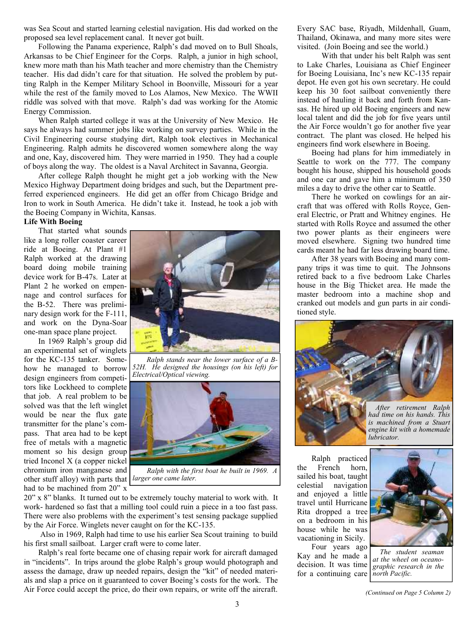was Sea Scout and started learning celestial navigation. His dad worked on the proposed sea level replacement canal. It never got built.

Following the Panama experience, Ralph's dad moved on to Bull Shoals, Arkansas to be Chief Engineer for the Corps. Ralph, a junior in high school, knew more math than his Math teacher and more chemistry than the Chemistry teacher. His dad didn't care for that situation. He solved the problem by putting Ralph in the Kemper Military School in Boonville, Missouri for a year while the rest of the family moved to Los Alamos, New Mexico. The WWII riddle was solved with that move. Ralph's dad was working for the Atomic Energy Commission.

When Ralph started college it was at the University of New Mexico. He says he always had summer jobs like working on survey parties. While in the Civil Engineering course studying dirt, Ralph took electives in Mechanical Engineering. Ralph admits he discovered women somewhere along the way and one, Kay, discovered him. They were married in 1950. They had a couple of boys along the way. The oldest is a Naval Architect in Savanna, Georgia.

After college Ralph thought he might get a job working with the New Mexico Highway Department doing bridges and such, but the Department preferred experienced engineers. He did get an offer from Chicago Bridge and Iron to work in South America. He didn't take it. Instead, he took a job with the Boeing Company in Wichita, Kansas.

### **Life With Boeing**

That started what sounds like a long roller coaster career ride at Boeing. At Plant #1 Ralph worked at the drawing board doing mobile training device work for B-47s. Later at Plant 2 he worked on empennage and control surfaces for the B-52. There was preliminary design work for the F-111, and work on the Dyna-Soar one-man space plane project.

In 1969 Ralph's group did an experimental set of winglets for the KC-135 tanker. Somehow he managed to borrow design engineers from competitors like Lockheed to complete that job. A real problem to be solved was that the left winglet would be near the flux gate transmitter for the plane's compass. That area had to be kept free of metals with a magnetic moment so his design group tried Inconel X (a copper nickel chromium iron manganese and other stuff alloy) with parts that *larger one came later.* had to be machined from 20" x



*Ralph stands near the lower surface of a B-52H. He designed the housings (on his left) for Electrical/Optical viewing.*



*Ralph with the first boat he built in 1969. A*

20" x 8" blanks. It turned out to be extremely touchy material to work with. It work- hardened so fast that a milling tool could ruin a piece in a too fast pass. There were also problems with the experiment's test sensing package supplied by the Air Force. Winglets never caught on for the KC-135.

 Also in 1969, Ralph had time to use his earlier Sea Scout training to build his first small sailboat. Larger craft were to come later.

Ralph's real forte became one of chasing repair work for aircraft damaged in "incidents". In trips around the globe Ralph's group would photograph and assess the damage, draw up needed repairs, design the "kit" of needed materials and slap a price on it guaranteed to cover Boeing's costs for the work. The Air Force could accept the price, do their own repairs, or write off the aircraft.

Every SAC base, Riyadh, Mildenhall, Guam, Thailand, Okinawa, and many more sites were visited. (Join Boeing and see the world.)

 With that under his belt Ralph was sent to Lake Charles, Louisiana as Chief Engineer for Boeing Louisiana, Inc's new KC-135 repair depot. He even got his own secretary. He could keep his 30 foot sailboat conveniently there instead of hauling it back and forth from Kansas. He hired up old Boeing engineers and new local talent and did the job for five years until the Air Force wouldn't go for another five year contract. The plant was closed. He helped his engineers find work elsewhere in Boeing.

Boeing had plans for him immediately in Seattle to work on the 777. The company bought his house, shipped his household goods and one car and gave him a minimum of 350 miles a day to drive the other car to Seattle.

There he worked on cowlings for an aircraft that was offered with Rolls Royce, General Electric, or Pratt and Whitney engines. He started with Rolls Royce and assumed the other two power plants as their engineers were moved elsewhere. Signing two hundred time cards meant he had far less drawing board time.

After 38 years with Boeing and many company trips it was time to quit. The Johnsons retired back to a five bedroom Lake Charles house in the Big Thicket area. He made the master bedroom into a machine shop and cranked out models and gun parts in air conditioned style.



*is machined from a Stuart engine kit with a homemade lubricator.*

Ralph practiced the French horn, sailed his boat, taught celestial navigation and enjoyed a little travel until Hurricane Rita dropped a tree on a bedroom in his house while he was vacationing in Sicily.

Four years ago Kay and he made a decision. It was time for a continuing care



*The student seaman at the wheel on oceanographic research in the north Pacific.*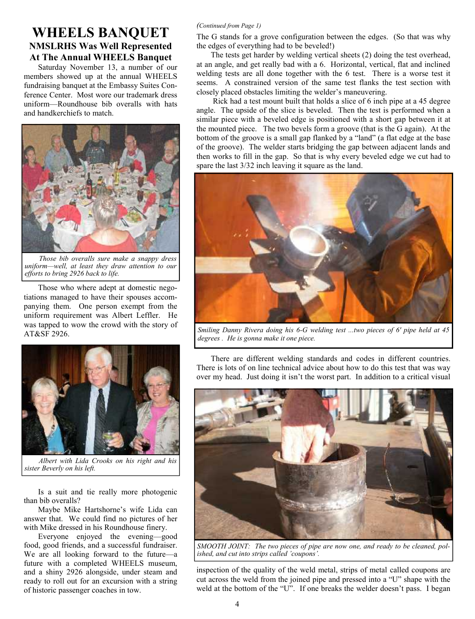# **WHEELS BANQUET NMSLRHS Was Well Represented At The Annual WHEELS Banquet**

Saturday November 13, a number of our members showed up at the annual WHEELS fundraising banquet at the Embassy Suites Conference Center. Most wore our trademark dress uniform—Roundhouse bib overalls with hats and handkerchiefs to match.



*Those bib overalls sure make a snappy dress uniform—well, at least they draw attention to our efforts to bring 2926 back to life.*

Those who where adept at domestic negotiations managed to have their spouses accompanying them. One person exempt from the uniform requirement was Albert Leffler. He was tapped to wow the crowd with the story of AT&SF 2926.



*Albert with Lida Crooks on his right and his sister Beverly on his left.*

Is a suit and tie really more photogenic than bib overalls?

Maybe Mike Hartshorne's wife Lida can answer that. We could find no pictures of her with Mike dressed in his Roundhouse finery.

Everyone enjoyed the evening—good food, good friends, and a successful fundraiser. We are all looking forward to the future—a future with a completed WHEELS museum, and a shiny 2926 alongside, under steam and ready to roll out for an excursion with a string of historic passenger coaches in tow.

## *(Continued from Page 1)*

The G stands for a grove configuration between the edges. (So that was why the edges of everything had to be beveled!)

The tests get harder by welding vertical sheets (2) doing the test overhead, at an angle, and get really bad with a 6. Horizontal, vertical, flat and inclined welding tests are all done together with the 6 test. There is a worse test it seems. A constrained version of the same test flanks the test section with closely placed obstacles limiting the welder's maneuvering.

 Rick had a test mount built that holds a slice of 6 inch pipe at a 45 degree angle. The upside of the slice is beveled. Then the test is performed when a similar piece with a beveled edge is positioned with a short gap between it at the mounted piece. The two bevels form a groove (that is the G again). At the bottom of the groove is a small gap flanked by a "land" (a flat edge at the base of the groove). The welder starts bridging the gap between adjacent lands and then works to fill in the gap. So that is why every beveled edge we cut had to spare the last 3/32 inch leaving it square as the land.



*Smiling Danny Rivera doing his 6-G welding test ...two pieces of 6' pipe held at 45 degrees . He is gonna make it one piece.*

There are different welding standards and codes in different countries. There is lots of on line technical advice about how to do this test that was way over my head. Just doing it isn't the worst part. In addition to a critical visual



*SMOOTH JOINT: The two pieces of pipe are now one, and ready to be cleaned, polished, and cut into strips called 'coupons'.*

inspection of the quality of the weld metal, strips of metal called coupons are cut across the weld from the joined pipe and pressed into a "U" shape with the weld at the bottom of the "U". If one breaks the welder doesn't pass. I began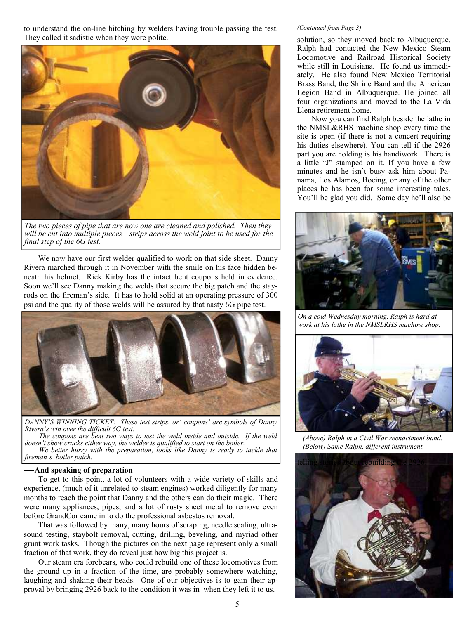to understand the on-line bitching by welders having trouble passing the test. They called it sadistic when they were polite.



*The two pieces of pipe that are now one are cleaned and polished. Then they will be cut into multiple pieces—strips across the weld joint to be used for the final step of the 6G test.*

We now have our first welder qualified to work on that side sheet. Danny Rivera marched through it in November with the smile on his face hidden beneath his helmet. Rick Kirby has the intact bent coupons held in evidence. Soon we'll see Danny making the welds that secure the big patch and the stayrods on the fireman's side. It has to hold solid at an operating pressure of 300 psi and the quality of those welds will be assured by that nasty 6G pipe test.



*DANNY'S WINNING TICKET: These test strips, or' coupons' are symbols of Danny Rivera's win over the difficult 6G test.*

*The coupons are bent two ways to test the weld inside and outside. If the weld doesn't show cracks either way, the welder is qualified to start on the boiler. We better hurry with the preparation, looks like Danny is ready to tackle that fireman's boiler patch.*

#### **—-And speaking of preparation**

To get to this point, a lot of volunteers with a wide variety of skills and experience, (much of it unrelated to steam engines) worked diligently for many months to reach the point that Danny and the others can do their magic. There were many appliances, pipes, and a lot of rusty sheet metal to remove even before GrandCor came in to do the professional asbestos removal.

That was followed by many, many hours of scraping, needle scaling, ultrasound testing, staybolt removal, cutting, drilling, beveling, and myriad other grunt work tasks. Though the pictures on the next page represent only a small fraction of that work, they do reveal just how big this project is.

Our steam era forebears, who could rebuild one of these locomotives from the ground up in a fraction of the time, are probably somewhere watching, laughing and shaking their heads. One of our objectives is to gain their approval by bringing 2926 back to the condition it was in when they left it to us.

#### *(Continued from Page 3)*

solution, so they moved back to Albuquerque. Ralph had contacted the New Mexico Steam Locomotive and Railroad Historical Society while still in Louisiana. He found us immediately. He also found New Mexico Territorial Brass Band, the Shrine Band and the American Legion Band in Albuquerque. He joined all four organizations and moved to the La Vida Llena retirement home.

Now you can find Ralph beside the lathe in the NMSL&RHS machine shop every time the site is open (if there is not a concert requiring his duties elsewhere). You can tell if the 2926 part you are holding is his handiwork. There is a little "J" stamped on it. If you have a few minutes and he isn't busy ask him about Panama, Los Alamos, Boeing, or any of the other places he has been for some interesting tales. You'll be glad you did. Some day he'll also be



*On a cold Wednesday morning, Ralph is hard at work at his lathe in the NMSLRHS machine shop.*



*(Above) Ralph in a Civil War reenactment band. (Below) Same Ralph, different instrument.*